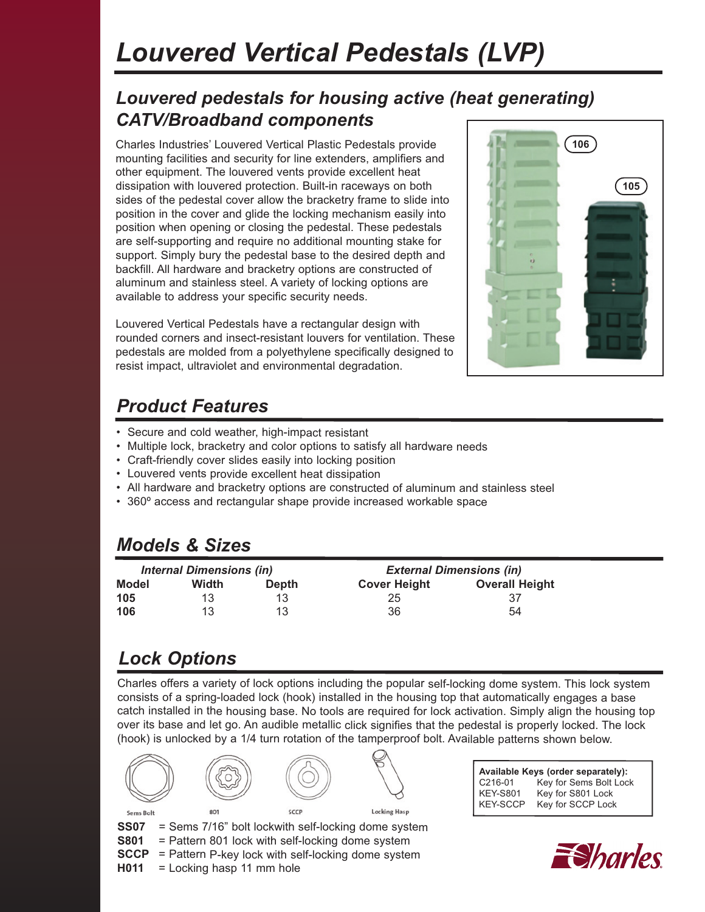# *Louvered Vertical Pedestals (LVP)*

#### *Louvered pedestals for housing active (heat generating) CATV/Broadband components*

Charles Industries' Louvered Vertical Plastic Pedestals provide **106** mounting facilities and security for line extenders, amplifiers and other equipment. The louvered vents provide excellent heat dissipation with louvered protection. Built-in raceways on both sides of the pedestal cover allow the bracketry frame to slide into position in the cover and glide the locking mechanism easily into position when opening or closing the pedestal. These pedestals are self-supporting and require no additional mounting stake for support. Simply bury the pedestal base to the desired depth and backfill. All hardware and bracketry options are constructed of aluminum and stainless steel. A variety of locking options are available to address your specific security needs.

Louvered Vertical Pedestals have a rectangular design with rounded corners and insect-resistant louvers for ventilation. These pedestals are molded from a polyethylene specifically designed to resist impact, ultraviolet and environmental degradation.



# *Product Features*

- Secure and cold weather, high-impact resistant
- Multiple lock, bracketry and color options to satisfy all hardware needs
- Craft-friendly cover slides easily into locking position
- Louvered vents provide excellent heat dissipation
- All hardware and bracketry options are constructed of aluminum and stainless steel
- 360º access and rectangular shape provide increased workable space

#### *Models & Sizes*

| <b>Internal Dimensions (in)</b> |       |              | <b>External Dimensions (in)</b> |                       |
|---------------------------------|-------|--------------|---------------------------------|-----------------------|
| Model                           | Width | <b>Depth</b> | <b>Cover Height</b>             | <b>Overall Height</b> |
| 105                             | 13    | 13           | 25                              | 37                    |
| 106                             | 13    | 13           | 36                              | 54                    |

## *Lock Options*

Charles offers a variety of lock options including the popular self-locking dome system. This lock system consists of a spring-loaded lock (hook) installed in the housing top that automatically engages a base catch installed in the housing base. No tools are required for lock activation. Simply align the housing top over its base and let go. An audible metallic click signifies that the pedestal is properly locked. The lock (hook) is unlocked by a 1/4 turn rotation of the tamperproof bolt. Available patterns shown below.



| Available Keys (order separately): |                        |  |  |  |
|------------------------------------|------------------------|--|--|--|
| C216-01                            | Key for Sems Bolt Lock |  |  |  |
| <b>KEY-S801</b>                    | Key for S801 Lock      |  |  |  |
| <b>KEY-SCCP</b>                    | Key for SCCP Lock      |  |  |  |